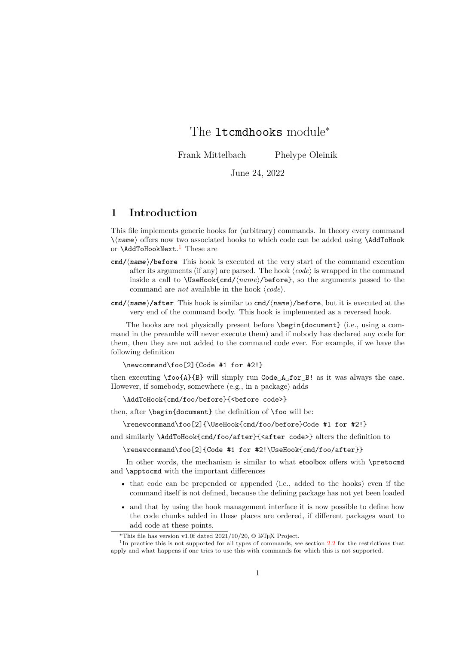# <span id="page-0-1"></span>The ltcmdhooks module<sup>\*</sup>

Frank Mittelbach Phelype Oleinik

June 24, 2022

## **1 Introduction**

This file implements generic hooks for (arbitrary) commands. In theory every command \⟨name⟩ offers now two associated hooks to which code can be added using \AddToHook or \AddToHookNext. [1](#page-0-0) These are

- **cmd/**⟨**name**⟩**/before** This hook is executed at the very start of the command execution after its arguments (if any) are parsed. The hook ⟨*code*⟩ is wrapped in the command inside a call to \UseHook{cmd/⟨*name*⟩/before}, so the arguments passed to the command are *not* available in the hook ⟨*code*⟩.
- **cmd/**⟨**name**⟩**/after** This hook is similar to cmd/⟨name⟩/before, but it is executed at the very end of the command body. This hook is implemented as a reversed hook.

The hooks are not physically present before \begin{document} (i.e., using a command in the preamble will never execute them) and if nobody has declared any code for them, then they are not added to the command code ever. For example, if we have the following definition

\newcommand\foo[2]{Code #1 for #2!}

then executing  $\text{1}_B$  will simply run Code<sub> $|A|$ </sub> for<sub> $|B|$ </sub> as it was always the case. However, if somebody, somewhere (e.g., in a package) adds

\AddToHook{cmd/foo/before}{<before code>}

then, after \begin{document} the definition of \foo will be:

\renewcommand\foo[2]{\UseHook{cmd/foo/before}Code #1 for #2!}

and similarly \AddToHook{cmd/foo/after}{<after code>} alters the definition to

\renewcommand\foo[2]{Code #1 for #2!\UseHook{cmd/foo/after}}

In other words, the mechanism is similar to what etoolbox offers with \pretocmd and \apptocmd with the important differences

- that code can be prepended or appended (i.e., added to the hooks) even if the command itself is not defined, because the defining package has not yet been loaded
- and that by using the hook management interface it is now possible to define how the code chunks added in these places are ordered, if different packages want to add code at these points.

<span id="page-0-0"></span><sup>\*</sup>This file has version v1.0f dated  $2021/10/20$ , © LAT<sub>E</sub>X Project.

<sup>&</sup>lt;sup>1</sup>In practice this is not supported for all types of commands, see section [2.2](#page-1-0) for the restrictions that apply and what happens if one tries to use this with commands for which this is not supported.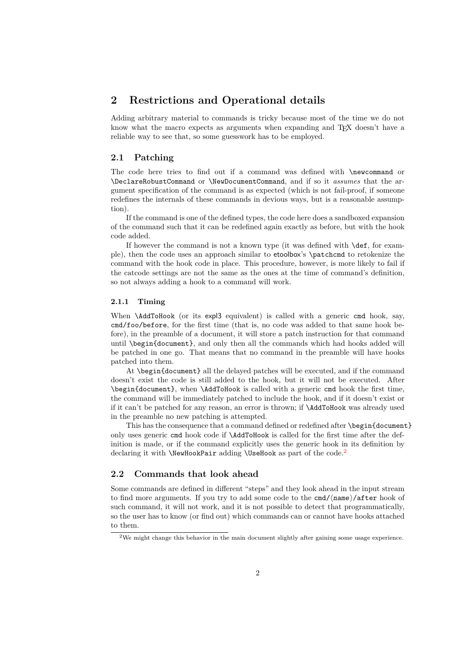## <span id="page-1-2"></span>**2 Restrictions and Operational details**

Adding arbitrary material to commands is tricky because most of the time we do not know what the macro expects as arguments when expanding and T<sub>E</sub>X doesn't have a reliable way to see that, so some guesswork has to be employed.

### **2.1 Patching**

The code here tries to find out if a command was defined with \newcommand or \DeclareRobustCommand or \NewDocumentCommand, and if so it *assumes* that the argument specification of the command is as expected (which is not fail-proof, if someone redefines the internals of these commands in devious ways, but is a reasonable assumption).

If the command is one of the defined types, the code here does a sandboxed expansion of the command such that it can be redefined again exactly as before, but with the hook code added.

If however the command is not a known type (it was defined with \def, for example), then the code uses an approach similar to etoolbox's \patchcmd to retokenize the command with the hook code in place. This procedure, however, is more likely to fail if the catcode settings are not the same as the ones at the time of command's definition, so not always adding a hook to a command will work.

#### **2.1.1 Timing**

When **\AddToHook** (or its expl3 equivalent) is called with a generic cmd hook, say, cmd/foo/before, for the first time (that is, no code was added to that same hook before), in the preamble of a document, it will store a patch instruction for that command until \begin{document}, and only then all the commands which had hooks added will be patched in one go. That means that no command in the preamble will have hooks patched into them.

At \begin{document} all the delayed patches will be executed, and if the command doesn't exist the code is still added to the hook, but it will not be executed. After \begin{document}, when \AddToHook is called with a generic cmd hook the first time, the command will be immediately patched to include the hook, and if it doesn't exist or if it can't be patched for any reason, an error is thrown; if \AddToHook was already used in the preamble no new patching is attempted.

This has the consequence that a command defined or redefined after \begin{document} only uses generic cmd hook code if \AddToHook is called for the first time after the definition is made, or if the command explicitly uses the generic hook in its definition by declaring it with  $\New HookPair$  adding  $\Use Hook$  as part of the code.<sup>[2](#page-1-1)</sup>

## <span id="page-1-0"></span>**2.2 Commands that look ahead**

Some commands are defined in different "steps" and they look ahead in the input stream to find more arguments. If you try to add some code to the cmd/ $\langle$ name $\rangle$ /after hook of such command, it will not work, and it is not possible to detect that programmatically, so the user has to know (or find out) which commands can or cannot have hooks attached to them.

<span id="page-1-1"></span><sup>&</sup>lt;sup>2</sup>We might change this behavior in the main document slightly after gaining some usage experience.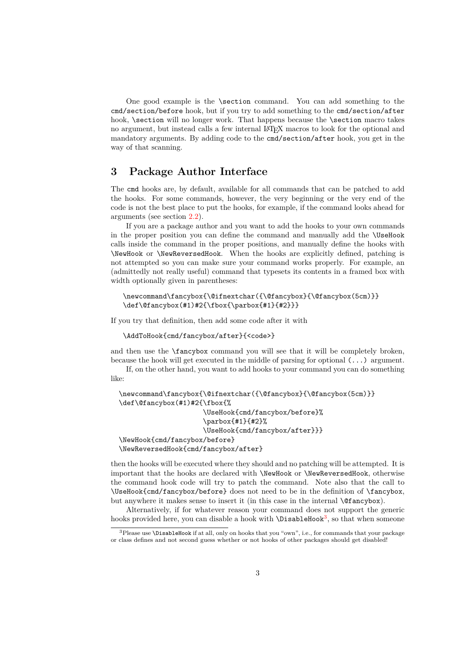<span id="page-2-1"></span>One good example is the \section command. You can add something to the cmd/section/before hook, but if you try to add something to the cmd/section/after hook, \section will no longer work. That happens because the \section macro takes no argument, but instead calls a few internal L<sup>AT</sup>EX macros to look for the optional and mandatory arguments. By adding code to the cmd/section/after hook, you get in the way of that scanning.

## **3 Package Author Interface**

The cmd hooks are, by default, available for all commands that can be patched to add the hooks. For some commands, however, the very beginning or the very end of the code is not the best place to put the hooks, for example, if the command looks ahead for arguments (see section [2.2\)](#page-1-0).

If you are a package author and you want to add the hooks to your own commands in the proper position you can define the command and manually add the \UseHook calls inside the command in the proper positions, and manually define the hooks with \NewHook or \NewReversedHook. When the hooks are explicitly defined, patching is not attempted so you can make sure your command works properly. For example, an (admittedly not really useful) command that typesets its contents in a framed box with width optionally given in parentheses:

```
\newcommand\fancybox{\@ifnextchar({\@fancybox}{\@fancybox(5cm)}}
\def\@fancybox(#1)#2{\fbox{\parbox{#1}{#2}}}
```
If you try that definition, then add some code after it with

```
\AddToHook{cmd/fancybox/after}{<code>}
```
and then use the \fancybox command you will see that it will be completely broken, because the hook will get executed in the middle of parsing for optional (...) argument.

If, on the other hand, you want to add hooks to your command you can do something like:

```
\newcommand\fancybox{\@ifnextchar({\@fancybox}{\@fancybox(5cm)}}
\def\@fancybox(#1)#2{\fbox{%
                     \UseHook{cmd/fancybox/before}%
                     \parbox{#1}{#2}%
                     \UseHook{cmd/fancybox/after}}}
\NewHook{cmd/fancybox/before}
\NewReversedHook{cmd/fancybox/after}
```
then the hooks will be executed where they should and no patching will be attempted. It is important that the hooks are declared with \NewHook or \NewReversedHook, otherwise the command hook code will try to patch the command. Note also that the call to \UseHook{cmd/fancybox/before} does not need to be in the definition of \fancybox, but anywhere it makes sense to insert it (in this case in the internal \@fancybox).

Alternatively, if for whatever reason your command does not support the generic hooks provided here, you can disable a hook with **\DisableHook<sup>[3](#page-2-0)</sup>**, so that when someone

<span id="page-2-0"></span><sup>3</sup>Please use \DisableHook if at all, only on hooks that you "own", i.e., for commands that your package or class defines and not second guess whether or not hooks of other packages should get disabled!